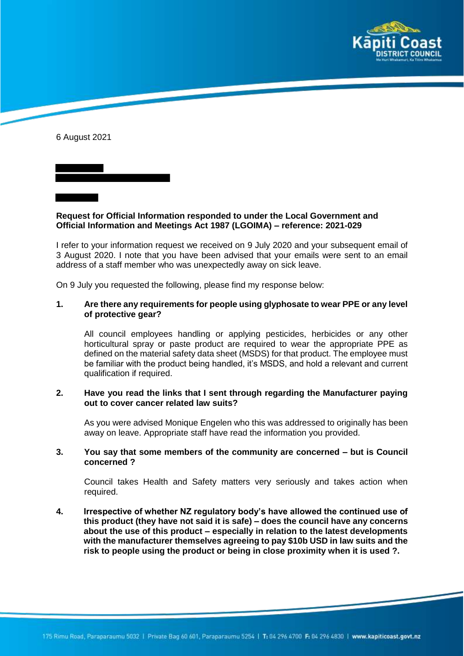

6 August 2021

**Request for Official Information responded to under the Local Government and Official Information and Meetings Act 1987 (LGOIMA) – reference: 2021-029**

I refer to your information request we received on 9 July 2020 and your subsequent email of 3 August 2020. I note that you have been advised that your emails were sent to an email address of a staff member who was unexpectedly away on sick leave.

On 9 July you requested the following, please find my response below:

## **1. Are there any requirements for people using glyphosate to wear PPE or any level of protective gear?**

All council employees handling or applying pesticides, herbicides or any other horticultural spray or paste product are required to wear the appropriate PPE as defined on the material safety data sheet (MSDS) for that product. The employee must be familiar with the product being handled, it's MSDS, and hold a relevant and current qualification if required.

## **2. Have you read the links that I sent through regarding the Manufacturer paying out to cover cancer related law suits?**

As you were advised Monique Engelen who this was addressed to originally has been away on leave. Appropriate staff have read the information you provided.

## **3. You say that some members of the community are concerned – but is Council concerned ?**

Council takes Health and Safety matters very seriously and takes action when required.

**4. Irrespective of whether NZ regulatory body's have allowed the continued use of this product (they have not said it is safe) – does the council have any concerns about the use of this product – especially in relation to the latest developments with the manufacturer themselves agreeing to pay \$10b USD in law suits and the risk to people using the product or being in close proximity when it is used ?.**